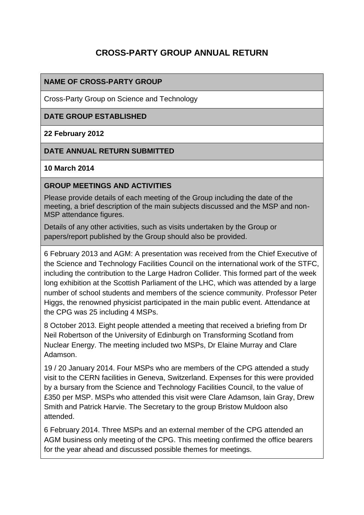# **CROSS-PARTY GROUP ANNUAL RETURN**

### **NAME OF CROSS-PARTY GROUP**

Cross-Party Group on Science and Technology

#### **DATE GROUP ESTABLISHED**

#### **22 February 2012**

#### **DATE ANNUAL RETURN SUBMITTED**

#### **10 March 2014**

#### **GROUP MEETINGS AND ACTIVITIES**

Please provide details of each meeting of the Group including the date of the meeting, a brief description of the main subjects discussed and the MSP and non-MSP attendance figures.

Details of any other activities, such as visits undertaken by the Group or papers/report published by the Group should also be provided.

6 February 2013 and AGM: A presentation was received from the Chief Executive of the Science and Technology Facilities Council on the international work of the STFC, including the contribution to the Large Hadron Collider. This formed part of the week long exhibition at the Scottish Parliament of the LHC, which was attended by a large number of school students and members of the science community. Professor Peter Higgs, the renowned physicist participated in the main public event. Attendance at the CPG was 25 including 4 MSPs.

8 October 2013. Eight people attended a meeting that received a briefing from Dr Neil Robertson of the University of Edinburgh on Transforming Scotland from Nuclear Energy. The meeting included two MSPs, Dr Elaine Murray and Clare Adamson.

19 / 20 January 2014. Four MSPs who are members of the CPG attended a study visit to the CERN facilities in Geneva, Switzerland. Expenses for this were provided by a bursary from the Science and Technology Facilities Council, to the value of £350 per MSP. MSPs who attended this visit were Clare Adamson, Iain Gray, Drew Smith and Patrick Harvie. The Secretary to the group Bristow Muldoon also attended.

6 February 2014. Three MSPs and an external member of the CPG attended an AGM business only meeting of the CPG. This meeting confirmed the office bearers for the year ahead and discussed possible themes for meetings.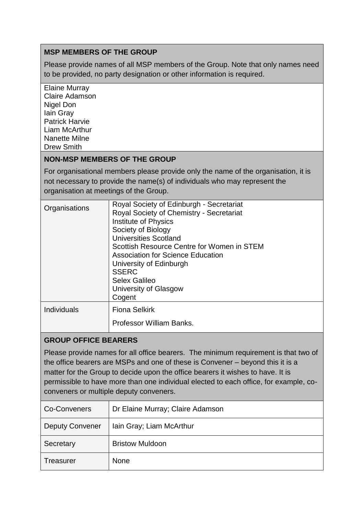### **MSP MEMBERS OF THE GROUP**

Please provide names of all MSP members of the Group. Note that only names need to be provided, no party designation or other information is required.

Elaine Murray Claire Adamson Nigel Don Iain Gray Patrick Harvie Liam McArthur Nanette Milne Drew Smith

### **NON-MSP MEMBERS OF THE GROUP**

For organisational members please provide only the name of the organisation, it is not necessary to provide the name(s) of individuals who may represent the organisation at meetings of the Group.

| Organisations | Royal Society of Edinburgh - Secretariat<br>Royal Society of Chemistry - Secretariat<br>Institute of Physics<br>Society of Biology<br><b>Universities Scotland</b><br>Scottish Resource Centre for Women in STEM<br><b>Association for Science Education</b><br>University of Edinburgh<br><b>SSERC</b><br>Selex Galileo<br>University of Glasgow<br>Cogent |
|---------------|-------------------------------------------------------------------------------------------------------------------------------------------------------------------------------------------------------------------------------------------------------------------------------------------------------------------------------------------------------------|
| Individuals   | <b>Fiona Selkirk</b><br>Professor William Banks.                                                                                                                                                                                                                                                                                                            |

## **GROUP OFFICE BEARERS**

Please provide names for all office bearers. The minimum requirement is that two of the office bearers are MSPs and one of these is Convener – beyond this it is a matter for the Group to decide upon the office bearers it wishes to have. It is permissible to have more than one individual elected to each office, for example, coconveners or multiple deputy conveners.

| Co-Conveners           | Dr Elaine Murray; Claire Adamson |
|------------------------|----------------------------------|
| <b>Deputy Convener</b> | Iain Gray; Liam McArthur         |
| Secretary              | <b>Bristow Muldoon</b>           |
| <b>Treasurer</b>       | <b>None</b>                      |